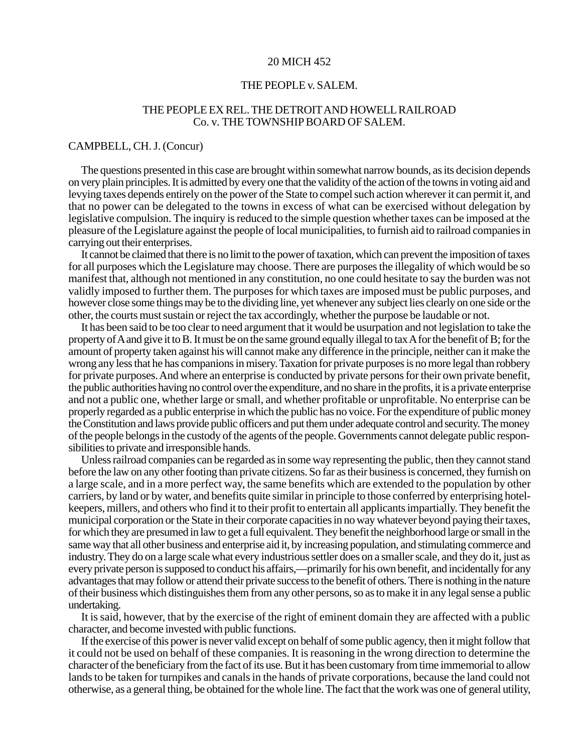## 20 MICH 452

## THE PEOPLE v. SALEM.

## THE PEOPLE EX REL. THE DETROIT AND HOWELL RAILROAD Co. v*.* THE TOWNSHIP BOARD OF SALEM.

## CAMPBELL, CH. J. (Concur)

The questions presented in this case are brought within somewhat narrow bounds, as its decision depends on very plain principles. It is admitted by every one that the validity of the action of the towns in voting aid and levying taxes depends entirely on the power of the State to compel such action wherever it can permit it, and that no power can be delegated to the towns in excess of what can be exercised without delegation by legislative compulsion. The inquiry is reduced to the simple question whether taxes can be imposed at the pleasure of the Legislature against the people of local municipalities, to furnish aid to railroad companies in carrying out their enterprises.

It cannot be claimed that there is no limit to the power of taxation, which can prevent the imposition of taxes for all purposes which the Legislature may choose. There are purposes the illegality of which would be so manifest that, although not mentioned in any constitution, no one could hesitate to say the burden was not validly imposed to further them. The purposes for which taxes are imposed must be public purposes, and however close some things may be to the dividing line, yet whenever any subject lies clearly on one side or the other, the courts must sustain or reject the tax accordingly, whether the purpose be laudable or not.

It has been said to be too clear to need argument that it would be usurpation and not legislation to take the property of A and give it to B. It must be on the same ground equally illegal to tax A for the benefit of B; for the amount of property taken against his will cannot make any difference in the principle, neither can it make the wrong any less that he has companions in misery. Taxation for private purposes is no more legal than robbery for private purposes. And where an enterprise is conducted by private persons for their own private benefit, the public authorities having no control over the expenditure, and no share in the profits, it is a private enterprise and not a public one, whether large or small, and whether profitable or unprofitable. No enterprise can be properly regarded as a public enterprise in which the public has no voice. For the expenditure of public money the Constitution and laws provide public officers and put them under adequate control and security. The money of the people belongs in the custody of the agents of the people. Governments cannot delegate public responsibilities to private and irresponsible hands.

Unless railroad companies can be regarded as in some way representing the public, then they cannot stand before the law on any other footing than private citizens. So far as their business is concerned, they furnish on a large scale, and in a more perfect way, the same benefits which are extended to the population by other carriers, by land or by water, and benefits quite similar in principle to those conferred by enterprising hotelkeepers, millers, and others who find it to their profit to entertain all applicants impartially. They benefit the municipal corporation or the State in their corporate capacities in no way whatever beyond paying their taxes, for which they are presumed in law to get a full equivalent. They benefit the neighborhood large or small in the same way that all other business and enterprise aid it, by increasing population, and stimulating commerce and industry. They do on a large scale what every industrious settler does on a smaller scale, and they do it, just as every private person is supposed to conduct his affairs,—primarily for his own benefit, and incidentally for any advantages that may follow or attend their private success to the benefit of others. There is nothing in the nature of their business which distinguishes them from any other persons, so as to make it in any legal sense a public undertaking.

It is said, however, that by the exercise of the right of eminent domain they are affected with a public character, and become invested with public functions.

If the exercise of this power is never valid except on behalf of some public agency, then it might follow that it could not be used on behalf of these companies. It is reasoning in the wrong direction to determine the character of the beneficiary from the fact of its use. But it has been customary from time immemorial to allow lands to be taken for turnpikes and canals in the hands of private corporations, because the land could not otherwise, as a general thing, be obtained for the whole line. The fact that the work was one of general utility,